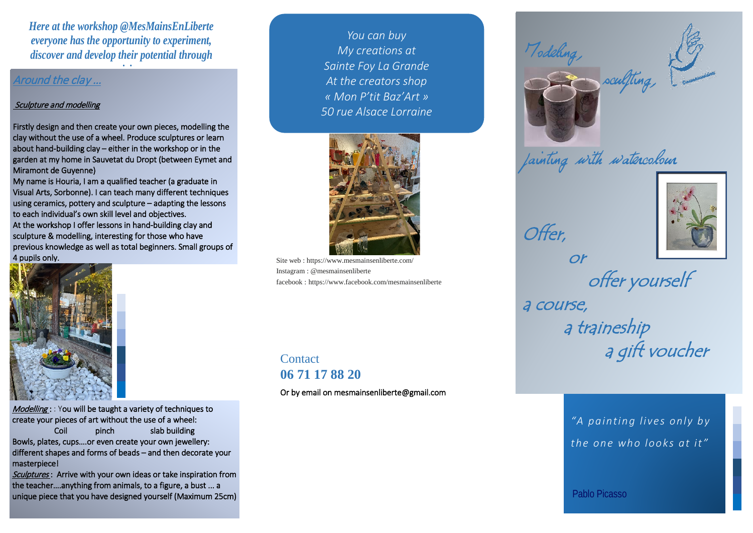*Here at the workshop @MesMainsEnLiberte everyone has the opportunity to experiment, discover and develop their potential through* 

*ti it*

### Around the clay …

#### Sculpture and modelling

Firstly design and then create your own pieces, modelling the clay without the use of a wheel. Produce sculptures or learn about hand-building clay – either in the workshop or in the garden at my home in Sauvetat du Dropt (between Eymet and Miramont de Guyenne)

My name is Houria, I am a qualified teacher (a graduate in Visual Arts, Sorbonne). I can teach many different techniques using ceramics, pottery and sculpture – adapting the lessons to each individual's own skill level and objectives. At the workshop I offer lessons in hand-building clay and sculpture & modelling, interesting for those who have previous knowledge as well as total beginners. Small groups of 4 pupils only. Site web : https://www.mesmainsenliberte.com/



 $\textit{Modelling}:$  You will be taught a variety of techniques to create your pieces of art without the use of a wheel:

Coil pinch slab building Bowls, plates, cups….or even create your own jewellery: different shapes and forms of beads – and then decorate your masterpiece!

Sculptures: Arrive with your own ideas or take inspiration from the teacher….anything from animals, to a figure, a bust ... a unique piece that you have designed yourself (Maximum 25cm)

*You can buy My creations at Sainte Foy La Grande At the creators shop « Mon P'tit Baz'Art » 50 rue Alsace Lorraine*



Instagram : @mesmainsenliberte facebook : https://www.facebook.com/mesmainsenliberte

# **Contact 06 71 17 88 20**

Or by email on mesmainsenliberte@gmail.com



or

Offer,



painting with watercolour



 offer yourself a course, a traineship a gift voucher

> *"A painting lives only by the one who looks at it"*

Pablo Picasso